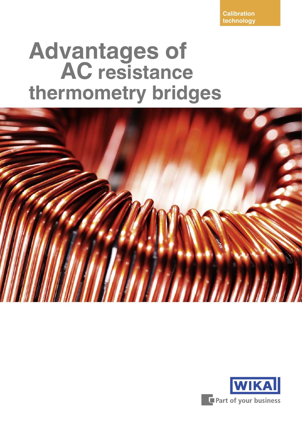**Calibration technology**

# **Advantages of AC resistance thermometry bridges**



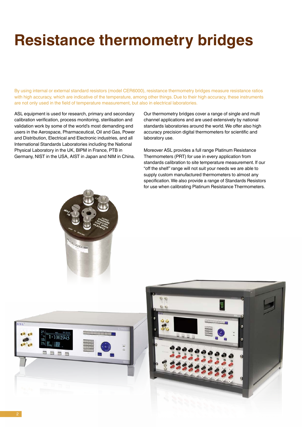# **Resistance thermometry bridges**

By using internal or external standard resistors (model CER6000), resistance thermometry bridges measure resistance ratios with high accuracy, which are indicative of the temperature, among other things. Due to their high accuracy, these instruments are not only used in the field of temperature measurement, but also in electrical laboratories.

ASL equipment is used for research, primary and secondary calibration verification, process monitoring, sterilisation and validation work by some of the world's most demanding end users in the Aerospace, Pharmaceutical, Oil and Gas, Power and Distribution, Electrical and Electronic industries, and all International Standards Laboratories including the National Physical Laboratory in the UK, BIPM in France, PTB in Germany, NIST in the USA, AIST in Japan and NIM in China. Our thermometry bridges cover a range of single and multi channel applications and are used extensively by national standards laboratories around the world. We offer also high accuracy precision digital thermometers for scientific and laboratory use.

Moreover ASL provides a full range Platinum Resistance Thermometers (PRT) for use in every application from standards calibration to site temperature measurement. If our "off the shelf" range will not suit your needs we are able to supply custom manufactured thermometers to almost any specification. We also provide a range of Standards Resistors for use when calibrating Platinum Resistance Thermometers.





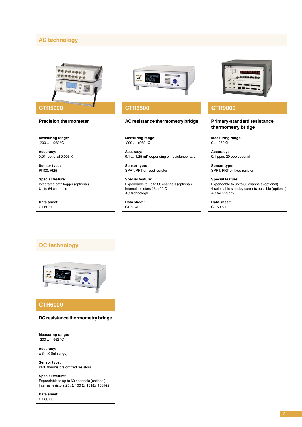#### **AC technology**



#### **Precision thermometer**

**Measuring range:**  $-200...+962$  °C

**Accuracy:** 0.01, optional 0.005 K

**Sensor type:** Pt100, Pt25

**Special feature:** Integrated data logger (optional) Up to 64 channels

**Data sheet:** CT 60.20



#### **CTR6500 CTR9000**

#### **AC resistance thermometry bridge Primary-standard resistance**

**Measuring range:**  $-200...+962$  °C

**Accuracy:** 0.1 … 1.25 mK depending on resistance ratio

**Sensor type:** SPRT, PRT or fixed resistor

**Special feature:** Expendable to up to 60 channels (optional) Internal resistors 25, 100 Ω AC technology

**Data sheet:** CT 60.40



### **thermometry bridge**

**Measuring range:**  $0... 260$  Ω

**Accuracy:** 0.1 ppm, 20 ppb optional

**Sensor type:** SPRT, PRT or fixed resistor

**Special feature:**

Expendable to up to 60 channels (optional) 4 selectable standby currents possible (optional) AC technology

**Data sheet:** CT 60.80

#### **DC technology**



#### **CTR6000**

#### **DC resistance thermometry bridge**

**Measuring range:** -200 … +962 °C

**Accuracy:**

± 3 mK (full range)

**Sensor type:** PRT, thermistors or fixed resistors

#### **Special feature:**

Expendable to up to 60 channels (optional) Internal resistors 25 Ω, 100 Ω, 10 kΩ, 100 kΩ

**Data sheet:** CT 60.30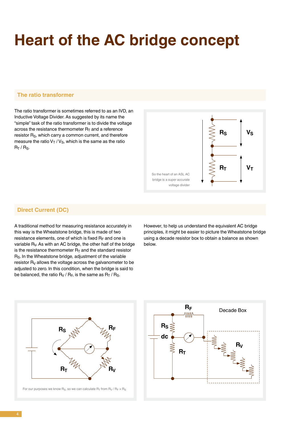## **Heart of the AC bridge concept**

#### **The ratio transformer**

The ratio transformer is sometimes referred to as an IVD, an Inductive Voltage Divider. As suggested by its name the "simple" task of the ratio transformer is to divide the voltage across the resistance thermometer  $R_T$  and a reference resistor R<sub>S</sub>, which carry a common current, and therefore measure the ratio  $V_T/V_S$ , which is the same as the ratio  $R_T/R_S$ .



#### **Direct Current (DC)**

A traditional method for measuring resistance accurately in this way is the Wheatstone bridge, this is made of two resistance elements, one of which is fixed  $R_F$  and one is variable R<sub>V</sub>. As with an AC bridge, the other half of the bridge is the resistance thermometer  $R<sub>T</sub>$  and the standard resistor R<sub>S</sub>. In the Wheatstone bridge, adjustment of the variable resistor  $R_V$  allows the voltage across the galvanometer to be adjusted to zero. In this condition, when the bridge is said to be balanced, the ratio  $R_V / R_F$ , is the same as  $R_T / R_S$ .

However, to help us understand the equivalent AC bridge principles, it might be easier to picture the Wheatstone bridge using a decade resistor box to obtain a balance as shown below.



For our purposes we know  $R_S$ , so we can calculate  $R_T$  from  $R_V$  /  $R_F \times R_S$ 

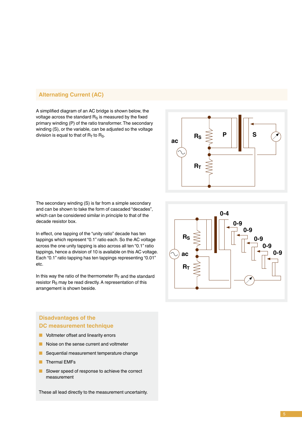#### **Alternating Current (AC)**

A simplified diagram of an AC bridge is shown below, the voltage across the standard  $R_S$  is measured by the fixed primary winding (P) of the ratio transformer. The secondary winding (S), or the variable, can be adjusted so the voltage division is equal to that of  $R<sub>T</sub>$  to  $R<sub>S</sub>$ .



The secondary winding (S) is far from a simple secondary and can be shown to take the form of cascaded "decades", which can be considered similar in principle to that of the decade resistor box.

In effect, one tapping of the "unity ratio" decade has ten tappings which represent "0.1" ratio each. So the AC voltage across the one unity tapping is also across all ten "0.1" ratio tappings, hence a division of 10 is available on this AC voltage. Each "0.1" ratio tapping has ten tappings representing "0.01" etc.

In this way the ratio of the thermometer  $R_T$  and the standard resistor  $R<sub>S</sub>$  may be read directly. A representation of this arrangement is shown beside.

#### **Disadvantages of the DC measurement technique**

- Voltmeter offset and linearity errors
- Noise on the sense current and voltmeter
- Sequential measurement temperature change
- Thermal EMFs
- Slower speed of response to achieve the correct measurement

These all lead directly to the measurement uncertainty.

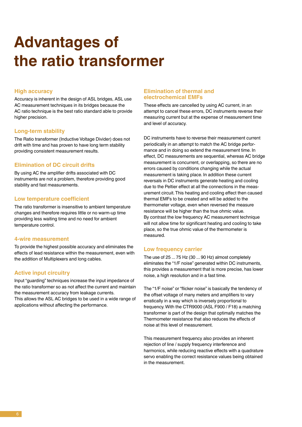### **Advantages of the ratio transformer**

#### **High accuracy**

Accuracy is inherent in the design of ASL bridges, ASL use AC measurement techniques in its bridges because the AC ratio technique is the best ratio standard able to provide higher precision.

#### **Long-term stability**

The Ratio transformer (Inductive Voltage Divider) does not drift with time and has proven to have long term stability providing consistent measurement results.

#### **Elimination of DC circuit drifts**

By using AC the amplifier drifts associated with DC instruments are not a problem, therefore providing good stability and fast measurements.

#### **Low temperature coefficient**

The ratio transformer is insensitive to ambient temperature changes and therefore requires little or no warm-up time providing less waiting time and no need for ambient temperature control.

#### **4-wire measurement**

To provide the highest possible accuracy and eliminates the effects of lead resistance within the measurement, even with the addition of Multiplexers and long cables.

#### **Active input circuitry**

Input "guarding" techniques increase the input impedance of the ratio transformer so as not affect the current and maintain the measurement accuracy from leakage currents. This allows the ASL AC bridges to be used in a wide range of applications without affecting the performance.

#### **Elimination of thermal and electrochemical EMFs**

These effects are cancelled by using AC current, in an attempt to cancel these errors, DC instruments reverse their measuring current but at the expense of measurement time and level of accuracy.

DC instruments have to reverse their measurement current periodically in an attempt to match the AC bridge performance and in doing so extend the measurement time. In effect, DC measurements are sequential, whereas AC bridge measurement is concurrent, or overlapping, so there are no errors caused by conditions changing while the actual measurement is taking place. In addition these current reversals in DC instruments generate heating and cooling due to the Peltier effect at all the connections in the measurement circuit. This heating and cooling effect then caused thermal EMFs to be created and will be added to the thermometer voltage, even when reversed the measure resistance will be higher than the true ohmic value. By contrast the low frequency AC measurement technique will not allow time for significant heating and cooling to take place, so the true ohmic value of the thermometer is measured.

#### **Low frequency carrier**

The use of 25 ... 75 Hz (30 ... 90 Hz) almost completely eliminates the "1/F noise" generated within DC instruments, this provides a measurement that is more precise, has lower noise, a high resolution and in a fast time.

The "1/F noise" or "flicker noise" is basically the tendency of the offset voltage of many meters and amplifiers to vary erratically in a way which is inversely proportional to frequency. With the CTR9000 (ASL F900 / F18) a matching transformer is part of the design that optimally matches the Thermometer resistance that also reduces the effects of noise at this level of measurement.

This measurement frequency also provides an inherent rejection of line / supply frequency interference and harmonics, while reducing reactive effects with a quadrature servo enabling the correct resistance values being obtained in the measurement.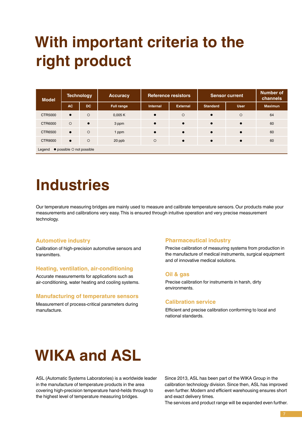### **With important criteria to the right product**

| <b>Model</b>                                      | Technology |           | <b>Accuracy</b> | <b>Reference resistors</b> |                 | <b>Sensor current</b> |             | <b>Number of</b><br>channels |
|---------------------------------------------------|------------|-----------|-----------------|----------------------------|-----------------|-----------------------|-------------|------------------------------|
|                                                   | <b>AC</b>  | <b>DC</b> | Full range      | <b>Internal</b>            | <b>External</b> | <b>Standard</b>       | <b>User</b> | <b>Maximun</b>               |
| CTR5000                                           | $\bullet$  | $\circ$   | 0,005K          | $\bullet$                  | $\circ$         | $\bullet$             | $\circ$     | 64                           |
| CTR6000                                           | $\circ$    | $\bullet$ | 3 ppm           | $\bullet$                  | $\bullet$       | $\bullet$             | $\bullet$   | 60                           |
| CTR6500                                           | $\bullet$  | $\circ$   | 1 ppm           | $\bullet$                  | $\bullet$       | $\bullet$             | $\bullet$   | 60                           |
| <b>CTR9000</b>                                    | $\bullet$  | $\circ$   | 20 ppb          | $\circ$                    | $\bullet$       | $\bullet$             | $\bullet$   | 60                           |
| $\bullet$ possible $\circ$ not possible<br>Legend |            |           |                 |                            |                 |                       |             |                              |

### **Industries**

Our temperature measuring bridges are mainly used to measure and calibrate temperature sensors. Our products make your measurements and calibrations very easy. This is ensured through intuitive operation and very precise measurement technology.

#### **Automotive industry**

Calibration of high-precision automotive sensors and transmitters.

#### **Heating, ventilation, air-conditioning**

Accurate measurements for applications such as air-conditioning, water heating and cooling systems.

#### **Manufacturing of temperature sensors**

Measurement of process-critical parameters during manufacture.

#### **Pharmaceutical industry**

Precise calibration of measuring systems from production in the manufacture of medical instruments, surgical equipment and of innovative medical solutions.

#### **Oil & gas**

Precise calibration for instruments in harsh, dirty environments.

#### **Calibration service**

Efficient and precise calibration conforming to local and national standards.

## **WIKA and ASL**

ASL (Automatic Systems Laboratories) is a worldwide leader in the manufacture of temperature products in the area covering high-precision temperature hand-helds through to the highest level of temperature measuring bridges.

Since 2013, ASL has been part of the WIKA Group in the calibration technology division. Since then, ASL has improved even further. Modern and efficient warehousing ensures short and exact delivery times.

The services and product range will be expanded even further.